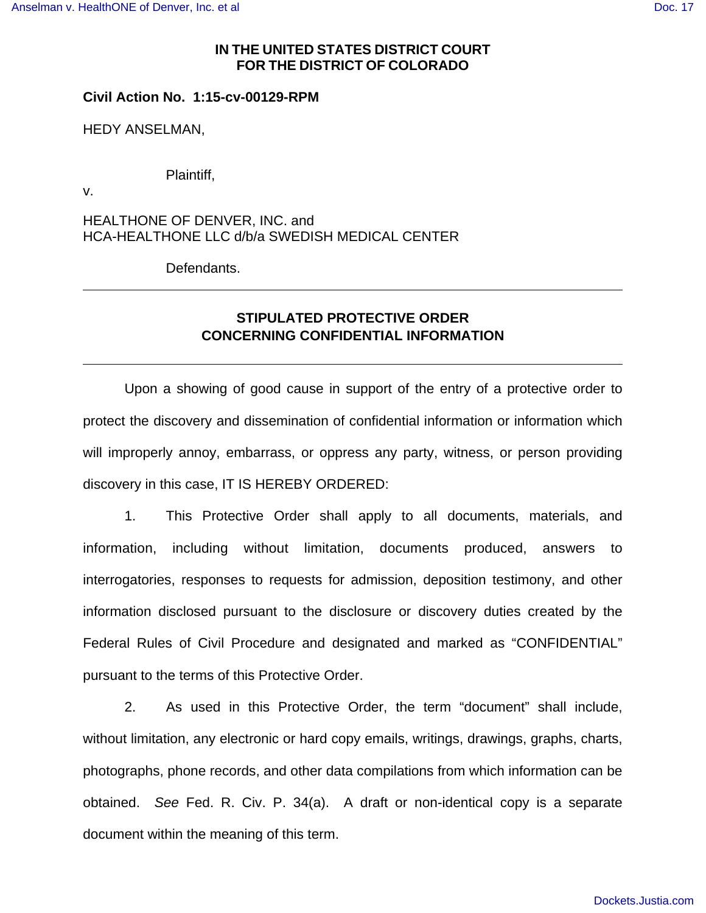#### **IN THE UNITED STATES DISTRICT COURT FOR THE DISTRICT OF COLORADO**

### **Civil Action No. 1:15-cv-00129-RPM**

HEDY ANSELMAN,

Plaintiff,

v.

HEALTHONE OF DENVER, INC. and HCA-HEALTHONE LLC d/b/a SWEDISH MEDICAL CENTER

Defendants.

# **STIPULATED PROTECTIVE ORDER CONCERNING CONFIDENTIAL INFORMATION**

Upon a showing of good cause in support of the entry of a protective order to protect the discovery and dissemination of confidential information or information which will improperly annoy, embarrass, or oppress any party, witness, or person providing discovery in this case, IT IS HEREBY ORDERED:

1. This Protective Order shall apply to all documents, materials, and information, including without limitation, documents produced, answers to interrogatories, responses to requests for admission, deposition testimony, and other information disclosed pursuant to the disclosure or discovery duties created by the Federal Rules of Civil Procedure and designated and marked as "CONFIDENTIAL" pursuant to the terms of this Protective Order.

2. As used in this Protective Order, the term "document" shall include, without limitation, any electronic or hard copy emails, writings, drawings, graphs, charts, photographs, phone records, and other data compilations from which information can be obtained. See Fed. R. Civ. P. 34(a). A draft or non-identical copy is a separate document within the meaning of this term.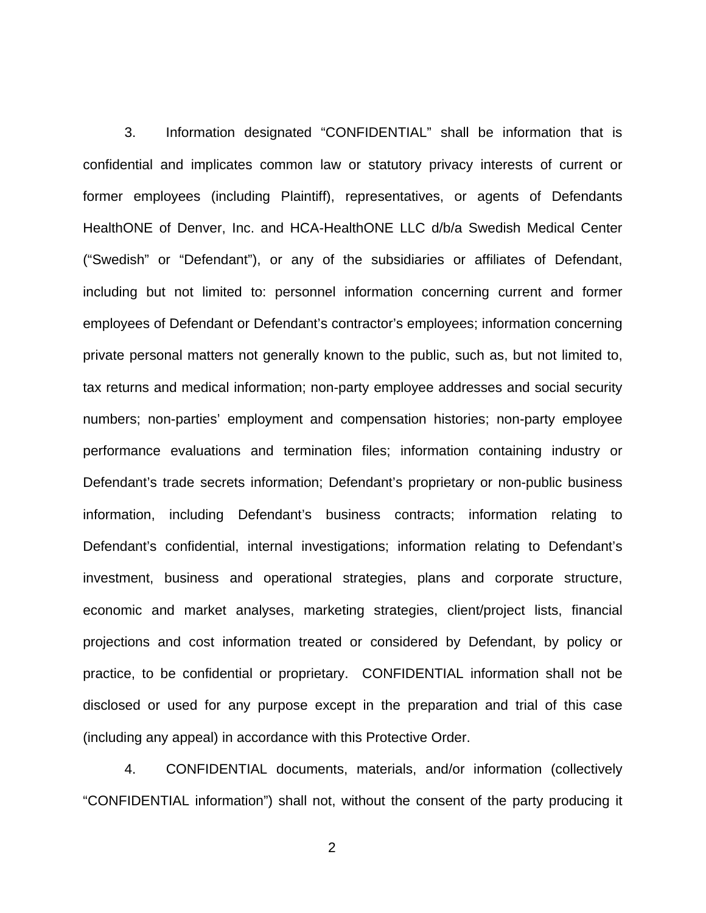3. Information designated "CONFIDENTIAL" shall be information that is confidential and implicates common law or statutory privacy interests of current or former employees (including Plaintiff), representatives, or agents of Defendants HealthONE of Denver, Inc. and HCA-HealthONE LLC d/b/a Swedish Medical Center ("Swedish" or "Defendant"), or any of the subsidiaries or affiliates of Defendant, including but not limited to: personnel information concerning current and former employees of Defendant or Defendant's contractor's employees; information concerning private personal matters not generally known to the public, such as, but not limited to, tax returns and medical information; non-party employee addresses and social security numbers; non-parties' employment and compensation histories; non-party employee performance evaluations and termination files; information containing industry or Defendant's trade secrets information; Defendant's proprietary or non-public business information, including Defendant's business contracts; information relating to Defendant's confidential, internal investigations; information relating to Defendant's investment, business and operational strategies, plans and corporate structure, economic and market analyses, marketing strategies, client/project lists, financial projections and cost information treated or considered by Defendant, by policy or practice, to be confidential or proprietary. CONFIDENTIAL information shall not be disclosed or used for any purpose except in the preparation and trial of this case (including any appeal) in accordance with this Protective Order.

4. CONFIDENTIAL documents, materials, and/or information (collectively "CONFIDENTIAL information") shall not, without the consent of the party producing it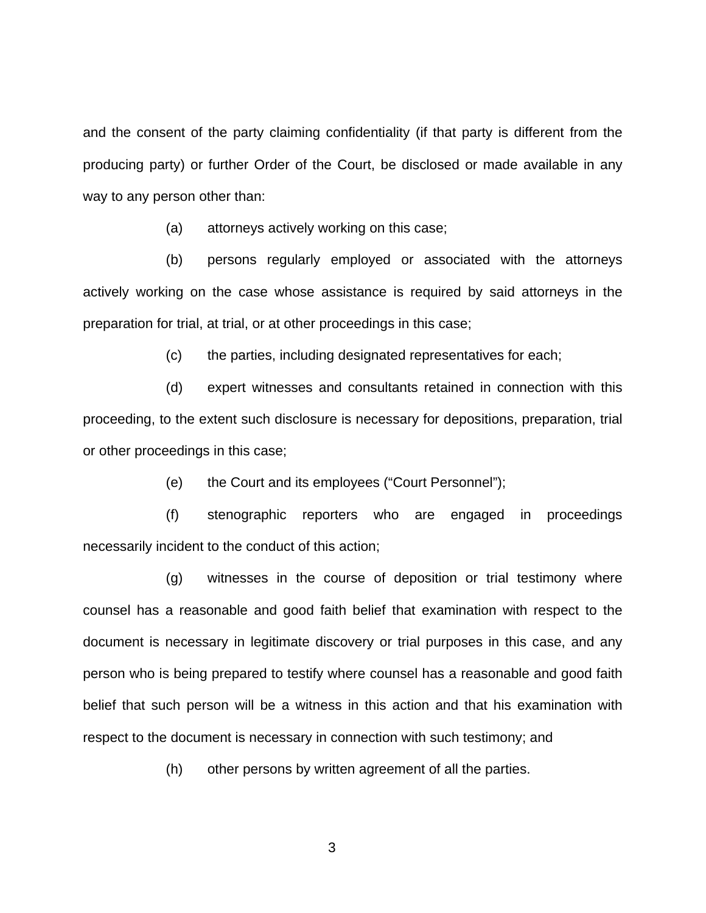and the consent of the party claiming confidentiality (if that party is different from the producing party) or further Order of the Court, be disclosed or made available in any way to any person other than:

(a) attorneys actively working on this case;

(b) persons regularly employed or associated with the attorneys actively working on the case whose assistance is required by said attorneys in the preparation for trial, at trial, or at other proceedings in this case;

(c) the parties, including designated representatives for each;

(d) expert witnesses and consultants retained in connection with this proceeding, to the extent such disclosure is necessary for depositions, preparation, trial or other proceedings in this case;

(e) the Court and its employees ("Court Personnel");

(f) stenographic reporters who are engaged in proceedings necessarily incident to the conduct of this action;

(g) witnesses in the course of deposition or trial testimony where counsel has a reasonable and good faith belief that examination with respect to the document is necessary in legitimate discovery or trial purposes in this case, and any person who is being prepared to testify where counsel has a reasonable and good faith belief that such person will be a witness in this action and that his examination with respect to the document is necessary in connection with such testimony; and

(h) other persons by written agreement of all the parties.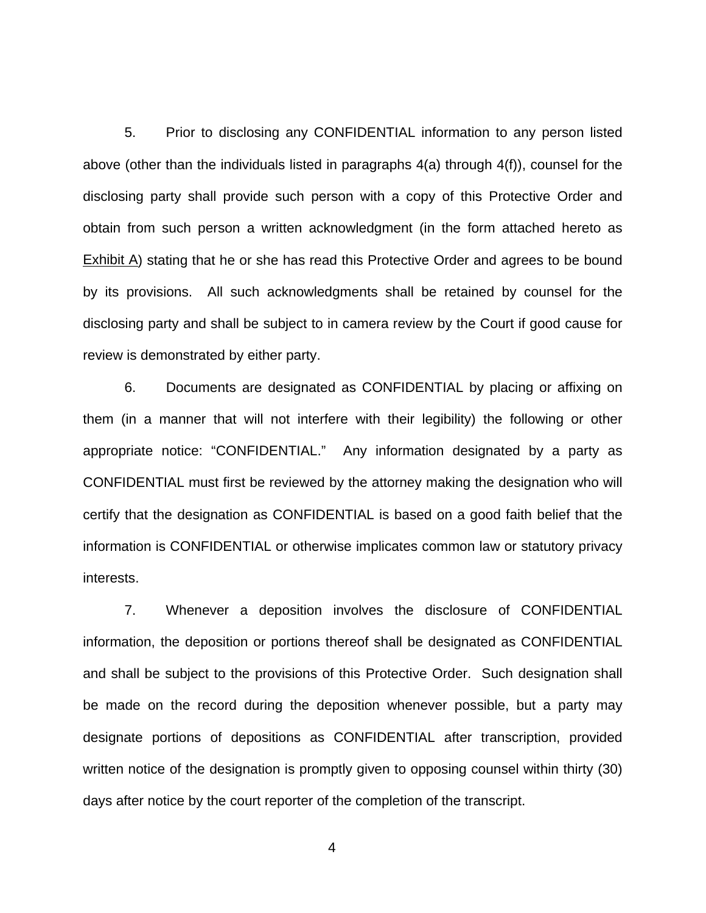5. Prior to disclosing any CONFIDENTIAL information to any person listed above (other than the individuals listed in paragraphs 4(a) through 4(f)), counsel for the disclosing party shall provide such person with a copy of this Protective Order and obtain from such person a written acknowledgment (in the form attached hereto as  $Exhibit A)$  stating that he or she has read this Protective Order and agrees to be bound by its provisions. All such acknowledgments shall be retained by counsel for the disclosing party and shall be subject to in camera review by the Court if good cause for review is demonstrated by either party.

6. Documents are designated as CONFIDENTIAL by placing or affixing on them (in a manner that will not interfere with their legibility) the following or other appropriate notice: "CONFIDENTIAL." Any information designated by a party as CONFIDENTIAL must first be reviewed by the attorney making the designation who will certify that the designation as CONFIDENTIAL is based on a good faith belief that the information is CONFIDENTIAL or otherwise implicates common law or statutory privacy interests.

7. Whenever a deposition involves the disclosure of CONFIDENTIAL information, the deposition or portions thereof shall be designated as CONFIDENTIAL and shall be subject to the provisions of this Protective Order. Such designation shall be made on the record during the deposition whenever possible, but a party may designate portions of depositions as CONFIDENTIAL after transcription, provided written notice of the designation is promptly given to opposing counsel within thirty (30) days after notice by the court reporter of the completion of the transcript.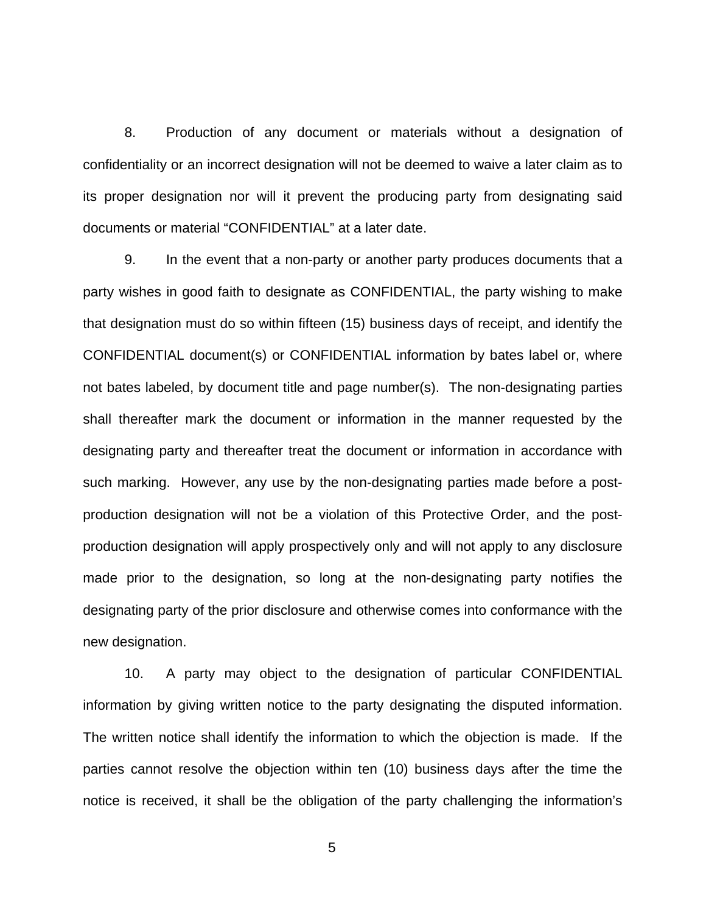8. Production of any document or materials without a designation of confidentiality or an incorrect designation will not be deemed to waive a later claim as to its proper designation nor will it prevent the producing party from designating said documents or material "CONFIDENTIAL" at a later date.

9. In the event that a non-party or another party produces documents that a party wishes in good faith to designate as CONFIDENTIAL, the party wishing to make that designation must do so within fifteen (15) business days of receipt, and identify the CONFIDENTIAL document(s) or CONFIDENTIAL information by bates label or, where not bates labeled, by document title and page number(s). The non-designating parties shall thereafter mark the document or information in the manner requested by the designating party and thereafter treat the document or information in accordance with such marking. However, any use by the non-designating parties made before a postproduction designation will not be a violation of this Protective Order, and the postproduction designation will apply prospectively only and will not apply to any disclosure made prior to the designation, so long at the non-designating party notifies the designating party of the prior disclosure and otherwise comes into conformance with the new designation.

10. A party may object to the designation of particular CONFIDENTIAL information by giving written notice to the party designating the disputed information. The written notice shall identify the information to which the objection is made. If the parties cannot resolve the objection within ten (10) business days after the time the notice is received, it shall be the obligation of the party challenging the information's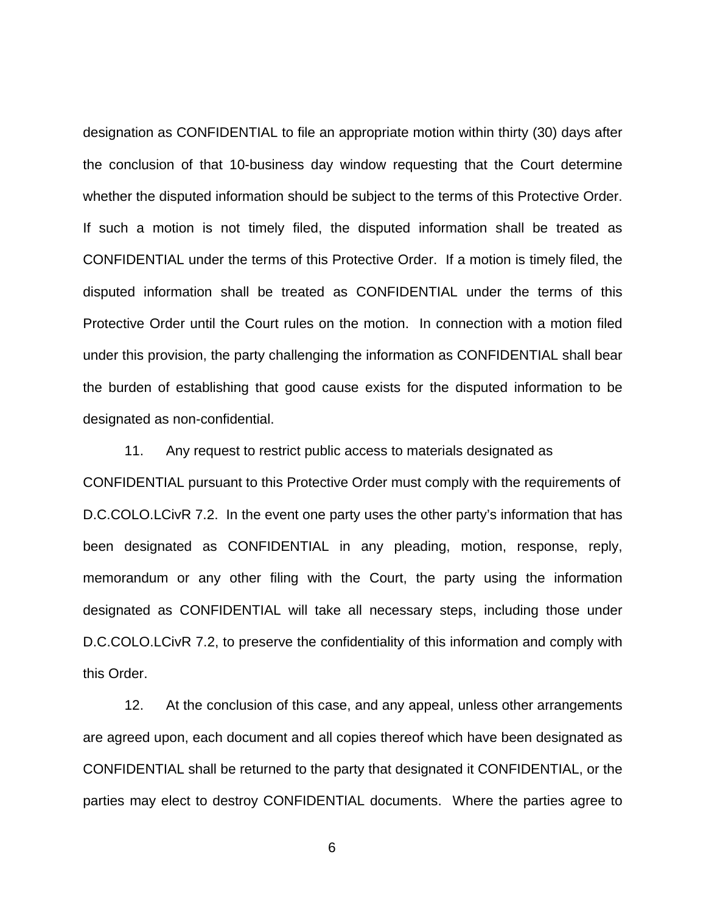designation as CONFIDENTIAL to file an appropriate motion within thirty (30) days after the conclusion of that 10-business day window requesting that the Court determine whether the disputed information should be subject to the terms of this Protective Order. If such a motion is not timely filed, the disputed information shall be treated as CONFIDENTIAL under the terms of this Protective Order. If a motion is timely filed, the disputed information shall be treated as CONFIDENTIAL under the terms of this Protective Order until the Court rules on the motion. In connection with a motion filed under this provision, the party challenging the information as CONFIDENTIAL shall bear the burden of establishing that good cause exists for the disputed information to be designated as non-confidential.

11. Any request to restrict public access to materials designated as CONFIDENTIAL pursuant to this Protective Order must comply with the requirements of D.C.COLO.LCivR 7.2. In the event one party uses the other party's information that has been designated as CONFIDENTIAL in any pleading, motion, response, reply, memorandum or any other filing with the Court, the party using the information designated as CONFIDENTIAL will take all necessary steps, including those under D.C.COLO.LCivR 7.2, to preserve the confidentiality of this information and comply with this Order.

12. At the conclusion of this case, and any appeal, unless other arrangements are agreed upon, each document and all copies thereof which have been designated as CONFIDENTIAL shall be returned to the party that designated it CONFIDENTIAL, or the parties may elect to destroy CONFIDENTIAL documents. Where the parties agree to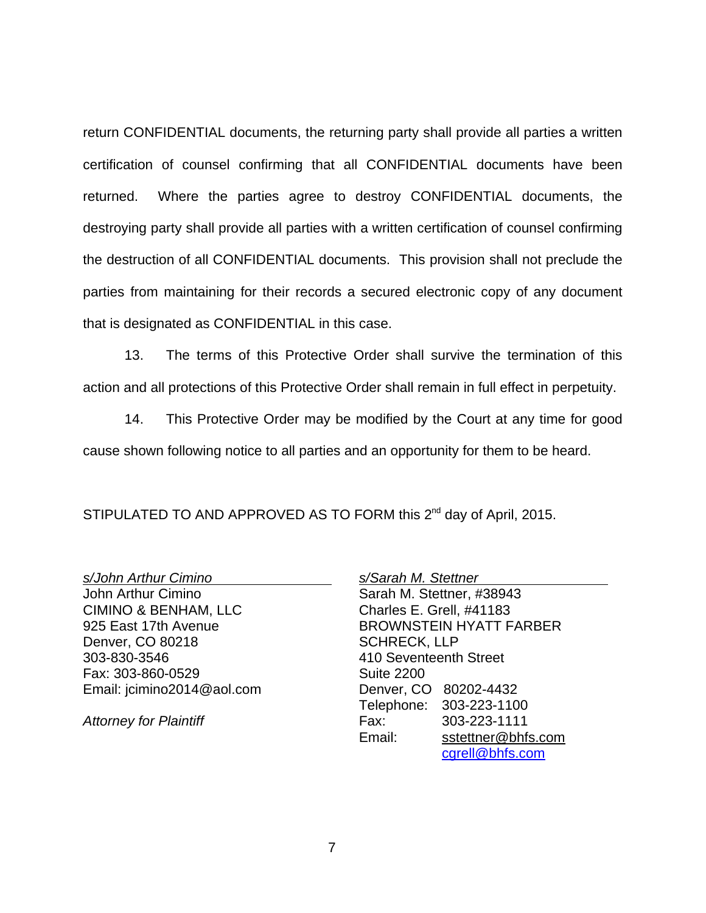return CONFIDENTIAL documents, the returning party shall provide all parties a written certification of counsel confirming that all CONFIDENTIAL documents have been returned. Where the parties agree to destroy CONFIDENTIAL documents, the destroying party shall provide all parties with a written certification of counsel confirming the destruction of all CONFIDENTIAL documents. This provision shall not preclude the parties from maintaining for their records a secured electronic copy of any document that is designated as CONFIDENTIAL in this case.

13. The terms of this Protective Order shall survive the termination of this action and all protections of this Protective Order shall remain in full effect in perpetuity.

14. This Protective Order may be modified by the Court at any time for good cause shown following notice to all parties and an opportunity for them to be heard.

STIPULATED TO AND APPROVED AS TO FORM this 2<sup>nd</sup> day of April, 2015.

s/John Arthur Cimino

John Arthur Cimino CIMINO & BENHAM, LLC 925 East 17th Avenue Denver, CO 80218 303-830-3546 Fax: 303-860-0529 Email: jcimino2014@aol.com

Attorney for Plaintiff

s/Sarah M. Stettner Sarah M. Stettner, #38943 Charles E. Grell, #41183 BROWNSTEIN HYATT FARBER SCHRECK, LLP 410 Seventeenth Street Suite 2200 Denver, CO 80202-4432 Telephone: 303-223-1100 Fax: 303-223-1111 Email: sstettner@bhfs.com cgrell@bhfs.com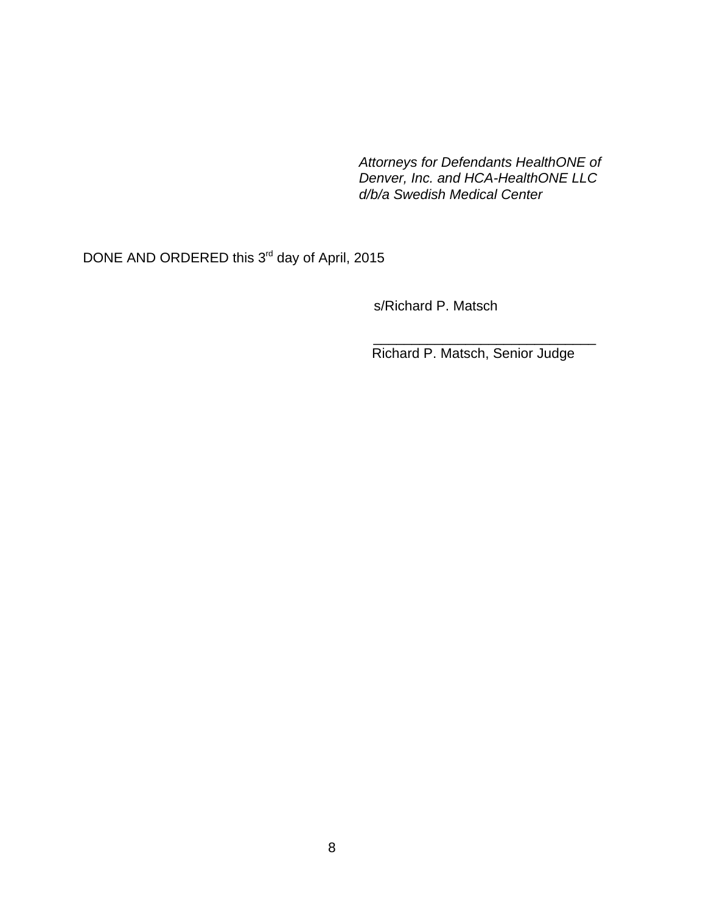Attorneys for Defendants HealthONE of Denver, Inc. and HCA-HealthONE LLC d/b/a Swedish Medical Center

DONE AND ORDERED this 3<sup>rd</sup> day of April, 2015

s/Richard P. Matsch

Richard P. Matsch, Senior Judge

\_\_\_\_\_\_\_\_\_\_\_\_\_\_\_\_\_\_\_\_\_\_\_\_\_\_\_\_\_